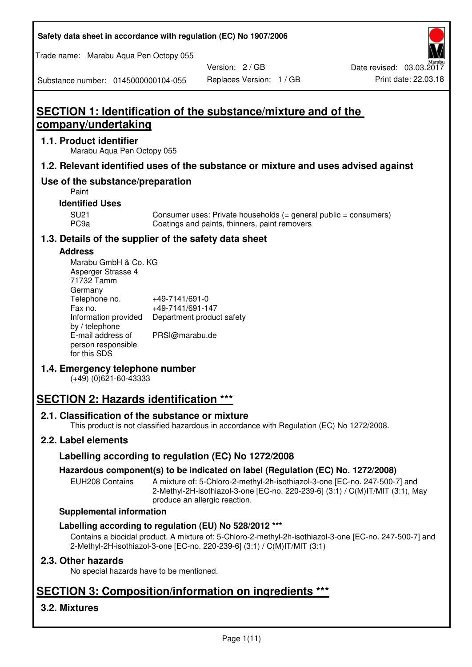| Safety data sheet in accordance with regulation (EC) No 1907/2006 |  |
|-------------------------------------------------------------------|--|
|-------------------------------------------------------------------|--|

Trade name: Marabu Aqua Pen Octopy 055

Version: 2 / GB

Substance number: 0145000000104-055

# **SECTION 1: Identification of the substance/mixture and of the company/undertaking**

## **1.1. Product identifier**

Marabu Aqua Pen Octopy 055

## **1.2. Relevant identified uses of the substance or mixture and uses advised against**

## **Use of the substance/preparation**

Paint

## **Identified Uses**

SU21 Consumer uses: Private households (= general public = consumers)<br>PC9a Coatings and paints, thinners, paint removers Coatings and paints, thinners, paint removers

## **1.3. Details of the supplier of the safety data sheet**

### **Address**

| Marabu GmbH & Co. KG |                           |
|----------------------|---------------------------|
| Asperger Strasse 4   |                           |
| 71732 Tamm           |                           |
| Germany              |                           |
| Telephone no.        | +49-7141/691-0            |
| Fax no.              | +49-7141/691-147          |
| Information provided | Department product safety |
| by / telephone       |                           |
| E-mail address of    | PRSI@marabu.de            |
| person responsible   |                           |
| for this SDS         |                           |

## **1.4. Emergency telephone number**

(+49) (0)621-60-43333

# **SECTION 2: Hazards identification \*\*\***

## **2.1. Classification of the substance or mixture**

This product is not classified hazardous in accordance with Regulation (EC) No 1272/2008.

## **2.2. Label elements**

## **Labelling according to regulation (EC) No 1272/2008**

## **Hazardous component(s) to be indicated on label (Regulation (EC) No. 1272/2008)**

EUH208 Contains A mixture of: 5-Chloro-2-methyl-2h-isothiazol-3-one [EC-no. 247-500-7] and 2-Methyl-2H-isothiazol-3-one [EC-no. 220-239-6] (3:1) / C(M)IT/MIT (3:1), May produce an allergic reaction.

#### **Supplemental information**

## **Labelling according to regulation (EU) No 528/2012 \*\*\***

Contains a biocidal product. A mixture of: 5-Chloro-2-methyl-2h-isothiazol-3-one [EC-no. 247-500-7] and 2-Methyl-2H-isothiazol-3-one [EC-no. 220-239-6] (3:1) / C(M)IT/MIT (3:1)

## **2.3. Other hazards**

No special hazards have to be mentioned.

# **SECTION 3: Composition/information on ingredients \*\*\***

## **3.2. Mixtures**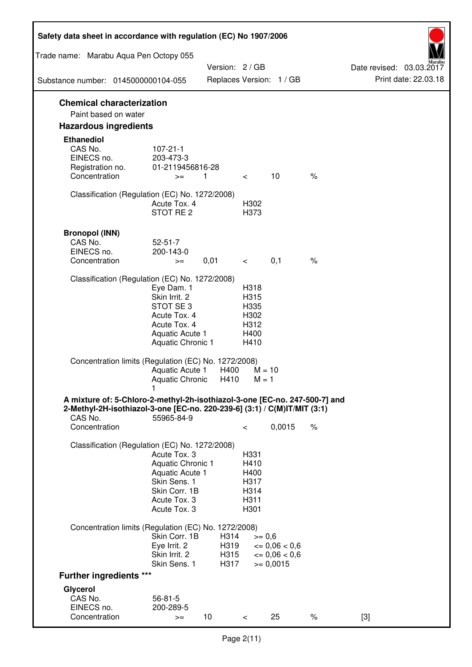| Safety data sheet in accordance with regulation (EC) No 1907/2006                                                                                                 |                                                                                                                       |                              |                                                      |                                                                  |      |                                                  |
|-------------------------------------------------------------------------------------------------------------------------------------------------------------------|-----------------------------------------------------------------------------------------------------------------------|------------------------------|------------------------------------------------------|------------------------------------------------------------------|------|--------------------------------------------------|
| Trade name: Marabu Aqua Pen Octopy 055                                                                                                                            |                                                                                                                       |                              |                                                      |                                                                  |      |                                                  |
| Substance number: 0145000000104-055                                                                                                                               |                                                                                                                       | Version: 2 / GB              |                                                      | Replaces Version: 1 / GB                                         |      | Date revised: 03.03.2017<br>Print date: 22.03.18 |
|                                                                                                                                                                   |                                                                                                                       |                              |                                                      |                                                                  |      |                                                  |
| <b>Chemical characterization</b><br>Paint based on water                                                                                                          |                                                                                                                       |                              |                                                      |                                                                  |      |                                                  |
| <b>Hazardous ingredients</b>                                                                                                                                      |                                                                                                                       |                              |                                                      |                                                                  |      |                                                  |
| <b>Ethanediol</b><br>CAS No.<br>EINECS no.<br>Registration no.<br>Concentration                                                                                   | $107 - 21 - 1$<br>203-473-3<br>01-2119456816-28<br>$>=$                                                               | 1                            | $\lt$ $\sim$                                         | 10                                                               | $\%$ |                                                  |
| Classification (Regulation (EC) No. 1272/2008)                                                                                                                    | Acute Tox. 4<br>STOT RE 2                                                                                             |                              | H302<br>H373                                         |                                                                  |      |                                                  |
| <b>Bronopol (INN)</b><br>CAS No.<br>EINECS no.<br>Concentration                                                                                                   | $52 - 51 - 7$<br>200-143-0<br>$>=$                                                                                    | 0,01                         | $\lt$ $\sim$                                         | 0,1                                                              | $\%$ |                                                  |
| Classification (Regulation (EC) No. 1272/2008)                                                                                                                    |                                                                                                                       |                              |                                                      |                                                                  |      |                                                  |
|                                                                                                                                                                   | Eye Dam. 1<br>Skin Irrit. 2<br>STOT SE3<br>Acute Tox. 4<br>Acute Tox. 4<br>Aquatic Acute 1<br>Aquatic Chronic 1       |                              | H318<br>H315<br>H335<br>H302<br>H312<br>H400<br>H410 |                                                                  |      |                                                  |
| Concentration limits (Regulation (EC) No. 1272/2008)                                                                                                              | Aquatic Acute 1<br>Aquatic Chronic $H410$ M = 1                                                                       | H400                         | $M = 10$                                             |                                                                  |      |                                                  |
| A mixture of: 5-Chloro-2-methyl-2h-isothiazol-3-one [EC-no. 247-500-7] and<br>2-Methyl-2H-isothiazol-3-one [EC-no. 220-239-6] (3:1) / C(M)IT/MIT (3:1)<br>CAS No. | 55965-84-9                                                                                                            |                              |                                                      |                                                                  |      |                                                  |
| Concentration                                                                                                                                                     |                                                                                                                       |                              | $\,<\,$                                              | 0,0015                                                           | $\%$ |                                                  |
| Classification (Regulation (EC) No. 1272/2008)                                                                                                                    | Acute Tox. 3<br>Aquatic Chronic 1<br>Aquatic Acute 1<br>Skin Sens. 1<br>Skin Corr. 1B<br>Acute Tox. 3<br>Acute Tox. 3 |                              | H331<br>H410<br>H400<br>H317<br>H314<br>H311<br>H301 |                                                                  |      |                                                  |
| Concentration limits (Regulation (EC) No. 1272/2008)                                                                                                              |                                                                                                                       |                              |                                                      |                                                                  |      |                                                  |
|                                                                                                                                                                   | Skin Corr. 1B<br>Eye Irrit. 2<br>Skin Irrit. 2<br>Skin Sens. 1                                                        | H314<br>H319<br>H315<br>H317 | $>= 0,6$                                             | $\epsilon = 0.06 < 0.6$<br>$\epsilon = 0.06 < 0.6$<br>$= 0,0015$ |      |                                                  |
| <b>Further ingredients ***</b>                                                                                                                                    |                                                                                                                       |                              |                                                      |                                                                  |      |                                                  |
| Glycerol<br>CAS No.<br>EINECS no.<br>Concentration                                                                                                                | $56 - 81 - 5$<br>200-289-5<br>$>=$                                                                                    | 10 <sup>°</sup>              | $\,<\,$                                              | 25                                                               | $\%$ | $[3]$                                            |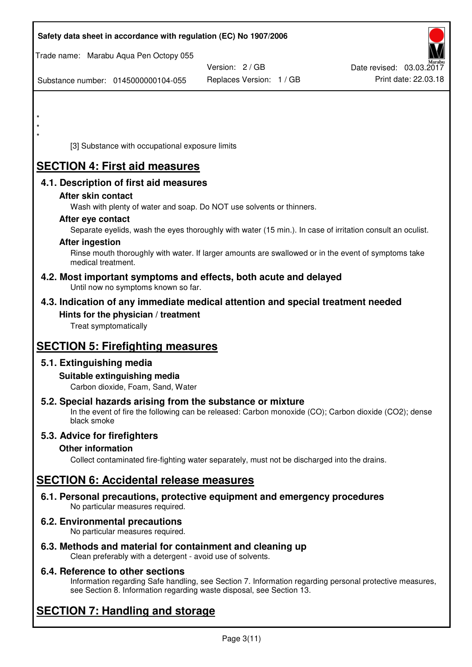| Safety data sheet in accordance with regulation (EC) No 1907/2006                                                                                                                  |                          |                          |
|------------------------------------------------------------------------------------------------------------------------------------------------------------------------------------|--------------------------|--------------------------|
| Trade name: Marabu Aqua Pen Octopy 055                                                                                                                                             |                          |                          |
|                                                                                                                                                                                    | Version: 2 / GB          | Date revised: 03.03.2017 |
| Substance number: 0145000000104-055                                                                                                                                                | Replaces Version: 1 / GB | Print date: 22.03.18     |
|                                                                                                                                                                                    |                          |                          |
|                                                                                                                                                                                    |                          |                          |
|                                                                                                                                                                                    |                          |                          |
| [3] Substance with occupational exposure limits                                                                                                                                    |                          |                          |
| <b>SECTION 4: First aid measures</b>                                                                                                                                               |                          |                          |
| 4.1. Description of first aid measures                                                                                                                                             |                          |                          |
| After skin contact                                                                                                                                                                 |                          |                          |
| Wash with plenty of water and soap. Do NOT use solvents or thinners.                                                                                                               |                          |                          |
| After eye contact                                                                                                                                                                  |                          |                          |
| Separate eyelids, wash the eyes thoroughly with water (15 min.). In case of irritation consult an oculist.                                                                         |                          |                          |
| <b>After ingestion</b>                                                                                                                                                             |                          |                          |
| Rinse mouth thoroughly with water. If larger amounts are swallowed or in the event of symptoms take<br>medical treatment.                                                          |                          |                          |
| 4.2. Most important symptoms and effects, both acute and delayed<br>Until now no symptoms known so far.                                                                            |                          |                          |
| 4.3. Indication of any immediate medical attention and special treatment needed                                                                                                    |                          |                          |
| Hints for the physician / treatment                                                                                                                                                |                          |                          |
| Treat symptomatically                                                                                                                                                              |                          |                          |
| <b>SECTION 5: Firefighting measures</b>                                                                                                                                            |                          |                          |
| 5.1. Extinguishing media                                                                                                                                                           |                          |                          |
| Suitable extinguishing media                                                                                                                                                       |                          |                          |
| Carbon dioxide, Foam, Sand, Water                                                                                                                                                  |                          |                          |
| 5.2. Special hazards arising from the substance or mixture<br>In the event of fire the following can be released: Carbon monoxide (CO); Carbon dioxide (CO2); dense<br>black smoke |                          |                          |
| 5.3. Advice for firefighters                                                                                                                                                       |                          |                          |
| <b>Other information</b>                                                                                                                                                           |                          |                          |
| Collect contaminated fire-fighting water separately, must not be discharged into the drains.                                                                                       |                          |                          |
| <b>SECTION 6: Accidental release measures</b>                                                                                                                                      |                          |                          |
| 6.1. Personal precautions, protective equipment and emergency procedures<br>No particular measures required.                                                                       |                          |                          |
| 6.2. Environmental precautions<br>No particular measures required.                                                                                                                 |                          |                          |
|                                                                                                                                                                                    |                          |                          |

**6.3. Methods and material for containment and cleaning up**  Clean preferably with a detergent - avoid use of solvents.

## **6.4. Reference to other sections**

Information regarding Safe handling, see Section 7. Information regarding personal protective measures, see Section 8. Information regarding waste disposal, see Section 13.

# **SECTION 7: Handling and storage**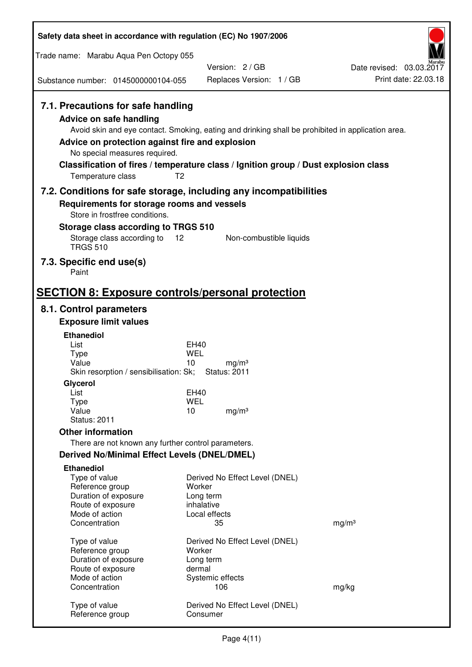| Safety data sheet in accordance with regulation (EC) No 1907/2006                                                                                                             |                                                                                                                                                                                                            |                                                  |
|-------------------------------------------------------------------------------------------------------------------------------------------------------------------------------|------------------------------------------------------------------------------------------------------------------------------------------------------------------------------------------------------------|--------------------------------------------------|
| Trade name: Marabu Aqua Pen Octopy 055                                                                                                                                        |                                                                                                                                                                                                            |                                                  |
|                                                                                                                                                                               | Version: 2/GB                                                                                                                                                                                              | Date revised: 03.03.2017<br>Print date: 22.03.18 |
| Substance number: 0145000000104-055                                                                                                                                           | Replaces Version: 1 / GB                                                                                                                                                                                   |                                                  |
| 7.1. Precautions for safe handling<br><b>Advice on safe handling</b><br>Advice on protection against fire and explosion<br>No special measures required.<br>Temperature class | Avoid skin and eye contact. Smoking, eating and drinking shall be prohibited in application area.<br>Classification of fires / temperature class / Ignition group / Dust explosion class<br>T <sub>2</sub> |                                                  |
|                                                                                                                                                                               | 7.2. Conditions for safe storage, including any incompatibilities                                                                                                                                          |                                                  |
| Requirements for storage rooms and vessels<br>Store in frostfree conditions.                                                                                                  |                                                                                                                                                                                                            |                                                  |
| Storage class according to TRGS 510                                                                                                                                           |                                                                                                                                                                                                            |                                                  |
| Storage class according to<br><b>TRGS 510</b>                                                                                                                                 | 12<br>Non-combustible liquids                                                                                                                                                                              |                                                  |
| 7.3. Specific end use(s)<br>Paint                                                                                                                                             |                                                                                                                                                                                                            |                                                  |
| <b>SECTION 8: Exposure controls/personal protection</b>                                                                                                                       |                                                                                                                                                                                                            |                                                  |
| 8.1. Control parameters                                                                                                                                                       |                                                                                                                                                                                                            |                                                  |
| <b>Exposure limit values</b>                                                                                                                                                  |                                                                                                                                                                                                            |                                                  |
| <b>Ethanediol</b><br>List                                                                                                                                                     | EH40                                                                                                                                                                                                       |                                                  |
| <b>Type</b>                                                                                                                                                                   | <b>WEL</b>                                                                                                                                                                                                 |                                                  |
| Value<br>Skin resorption / sensibilisation: Sk;                                                                                                                               | 10<br>mg/m <sup>3</sup><br><b>Status: 2011</b>                                                                                                                                                             |                                                  |
| Glycerol                                                                                                                                                                      |                                                                                                                                                                                                            |                                                  |
| List                                                                                                                                                                          | EH40                                                                                                                                                                                                       |                                                  |
| <b>Type</b><br>Value                                                                                                                                                          | <b>WEL</b><br>10<br>mg/m <sup>3</sup>                                                                                                                                                                      |                                                  |
| <b>Status: 2011</b>                                                                                                                                                           |                                                                                                                                                                                                            |                                                  |
| <b>Other information</b>                                                                                                                                                      |                                                                                                                                                                                                            |                                                  |
| There are not known any further control parameters.                                                                                                                           |                                                                                                                                                                                                            |                                                  |
| <b>Derived No/Minimal Effect Levels (DNEL/DMEL)</b>                                                                                                                           |                                                                                                                                                                                                            |                                                  |
| <b>Ethanediol</b><br>Type of value<br>Reference group<br>Duration of exposure                                                                                                 | Derived No Effect Level (DNEL)<br>Worker<br>Long term                                                                                                                                                      |                                                  |
| Route of exposure                                                                                                                                                             | inhalative                                                                                                                                                                                                 |                                                  |
| Mode of action                                                                                                                                                                | Local effects                                                                                                                                                                                              |                                                  |
| Concentration                                                                                                                                                                 | 35                                                                                                                                                                                                         | mg/m <sup>3</sup>                                |
| Type of value                                                                                                                                                                 | Derived No Effect Level (DNEL)                                                                                                                                                                             |                                                  |
| Reference group<br>Duration of exposure                                                                                                                                       | Worker<br>Long term                                                                                                                                                                                        |                                                  |
| Route of exposure                                                                                                                                                             | dermal                                                                                                                                                                                                     |                                                  |
| Mode of action<br>Concentration                                                                                                                                               | Systemic effects<br>106                                                                                                                                                                                    | mg/kg                                            |
|                                                                                                                                                                               |                                                                                                                                                                                                            |                                                  |
| Type of value<br>Reference group                                                                                                                                              | Derived No Effect Level (DNEL)<br>Consumer                                                                                                                                                                 |                                                  |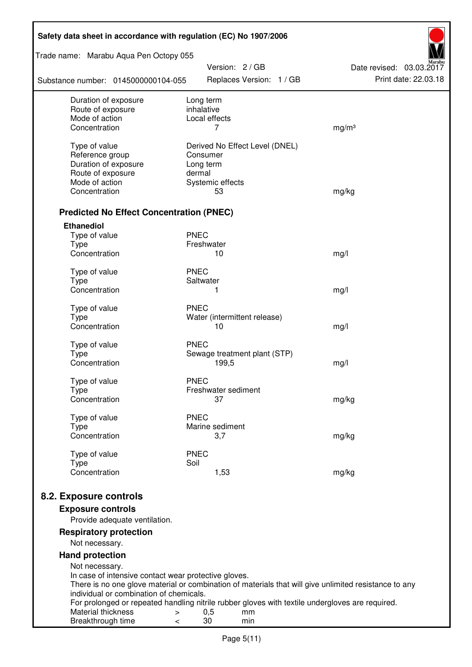| Safety data sheet in accordance with regulation (EC) No 1907/2006                     |                                                                                                       |                      |  |  |  |  |
|---------------------------------------------------------------------------------------|-------------------------------------------------------------------------------------------------------|----------------------|--|--|--|--|
| Trade name: Marabu Aqua Pen Octopy 055<br>Version: 2 / GB<br>Date revised: 03.03.2017 |                                                                                                       |                      |  |  |  |  |
| Substance number: 0145000000104-055                                                   | Replaces Version: 1 / GB                                                                              | Print date: 22.03.18 |  |  |  |  |
| Duration of exposure                                                                  | Long term                                                                                             |                      |  |  |  |  |
| Route of exposure<br>Mode of action                                                   | inhalative<br>Local effects                                                                           |                      |  |  |  |  |
| Concentration                                                                         | 7                                                                                                     | mg/m <sup>3</sup>    |  |  |  |  |
|                                                                                       |                                                                                                       |                      |  |  |  |  |
| Type of value                                                                         | Derived No Effect Level (DNEL)                                                                        |                      |  |  |  |  |
| Reference group                                                                       | Consumer                                                                                              |                      |  |  |  |  |
| Duration of exposure<br>Route of exposure                                             | Long term<br>dermal                                                                                   |                      |  |  |  |  |
| Mode of action                                                                        | Systemic effects                                                                                      |                      |  |  |  |  |
| Concentration                                                                         | 53                                                                                                    | mg/kg                |  |  |  |  |
|                                                                                       |                                                                                                       |                      |  |  |  |  |
| <b>Predicted No Effect Concentration (PNEC)</b>                                       |                                                                                                       |                      |  |  |  |  |
| <b>Ethanediol</b>                                                                     |                                                                                                       |                      |  |  |  |  |
| Type of value                                                                         | <b>PNEC</b>                                                                                           |                      |  |  |  |  |
| <b>Type</b><br>Concentration                                                          | Freshwater<br>10                                                                                      |                      |  |  |  |  |
|                                                                                       |                                                                                                       | mg/l                 |  |  |  |  |
| Type of value                                                                         | <b>PNEC</b>                                                                                           |                      |  |  |  |  |
| <b>Type</b>                                                                           | Saltwater                                                                                             |                      |  |  |  |  |
| Concentration                                                                         | 1                                                                                                     | mg/l                 |  |  |  |  |
| Type of value                                                                         | <b>PNEC</b>                                                                                           |                      |  |  |  |  |
| <b>Type</b>                                                                           | Water (intermittent release)                                                                          |                      |  |  |  |  |
| Concentration                                                                         | 10                                                                                                    | mg/l                 |  |  |  |  |
| Type of value                                                                         | <b>PNEC</b>                                                                                           |                      |  |  |  |  |
| <b>Type</b>                                                                           | Sewage treatment plant (STP)                                                                          |                      |  |  |  |  |
| Concentration                                                                         | 199,5                                                                                                 | mg/l                 |  |  |  |  |
| Type of value                                                                         | <b>PNEC</b>                                                                                           |                      |  |  |  |  |
| Type                                                                                  | Freshwater sediment                                                                                   |                      |  |  |  |  |
| Concentration                                                                         | 37                                                                                                    | mg/kg                |  |  |  |  |
|                                                                                       | <b>PNEC</b>                                                                                           |                      |  |  |  |  |
| Type of value<br><b>Type</b>                                                          | Marine sediment                                                                                       |                      |  |  |  |  |
| Concentration                                                                         | 3,7                                                                                                   | mg/kg                |  |  |  |  |
|                                                                                       |                                                                                                       |                      |  |  |  |  |
| Type of value                                                                         | <b>PNEC</b><br>Soil                                                                                   |                      |  |  |  |  |
| <b>Type</b><br>Concentration                                                          | 1,53                                                                                                  | mg/kg                |  |  |  |  |
|                                                                                       |                                                                                                       |                      |  |  |  |  |
| 8.2. Exposure controls                                                                |                                                                                                       |                      |  |  |  |  |
| <b>Exposure controls</b>                                                              |                                                                                                       |                      |  |  |  |  |
| Provide adequate ventilation.                                                         |                                                                                                       |                      |  |  |  |  |
| <b>Respiratory protection</b>                                                         |                                                                                                       |                      |  |  |  |  |
| Not necessary.                                                                        |                                                                                                       |                      |  |  |  |  |
| <b>Hand protection</b>                                                                |                                                                                                       |                      |  |  |  |  |
| Not necessary.                                                                        |                                                                                                       |                      |  |  |  |  |
| In case of intensive contact wear protective gloves.                                  |                                                                                                       |                      |  |  |  |  |
| individual or combination of chemicals.                                               | There is no one glove material or combination of materials that will give unlimited resistance to any |                      |  |  |  |  |
|                                                                                       | For prolonged or repeated handling nitrile rubber gloves with textile undergloves are required.       |                      |  |  |  |  |
| Material thickness<br>>                                                               | 0,5<br>mm                                                                                             |                      |  |  |  |  |
| Breakthrough time<br><                                                                | 30<br>min                                                                                             |                      |  |  |  |  |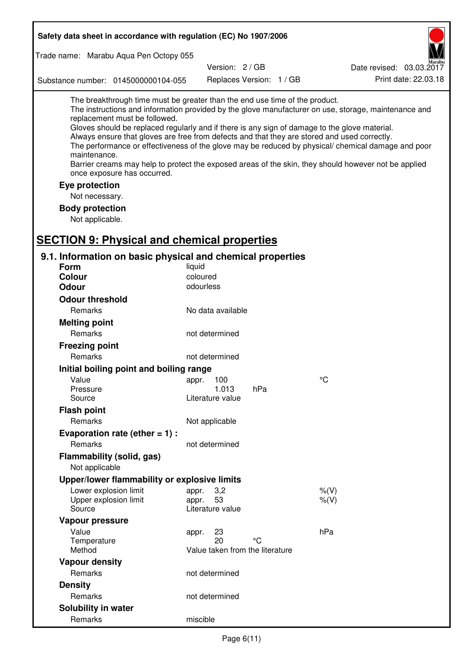| Safety data sheet in accordance with regulation (EC) No 1907/2006                                                                                                                                                                                                                                                                                                                                                                                                    |                                       |                          |                                                                                                                                                                                                            |  |
|----------------------------------------------------------------------------------------------------------------------------------------------------------------------------------------------------------------------------------------------------------------------------------------------------------------------------------------------------------------------------------------------------------------------------------------------------------------------|---------------------------------------|--------------------------|------------------------------------------------------------------------------------------------------------------------------------------------------------------------------------------------------------|--|
| Trade name: Marabu Aqua Pen Octopy 055                                                                                                                                                                                                                                                                                                                                                                                                                               |                                       |                          |                                                                                                                                                                                                            |  |
|                                                                                                                                                                                                                                                                                                                                                                                                                                                                      | Version: 2/GB                         |                          | Date revised: 03.03.2017                                                                                                                                                                                   |  |
| Substance number: 0145000000104-055                                                                                                                                                                                                                                                                                                                                                                                                                                  |                                       | Replaces Version: 1 / GB | Print date: 22.03.18                                                                                                                                                                                       |  |
| The breakthrough time must be greater than the end use time of the product.<br>replacement must be followed.<br>Gloves should be replaced regularly and if there is any sign of damage to the glove material.<br>Always ensure that gloves are free from defects and that they are stored and used correctly.<br>maintenance.<br>Barrier creams may help to protect the exposed areas of the skin, they should however not be applied<br>once exposure has occurred. |                                       |                          | The instructions and information provided by the glove manufacturer on use, storage, maintenance and<br>The performance or effectiveness of the glove may be reduced by physical/ chemical damage and poor |  |
| Eye protection                                                                                                                                                                                                                                                                                                                                                                                                                                                       |                                       |                          |                                                                                                                                                                                                            |  |
| Not necessary.                                                                                                                                                                                                                                                                                                                                                                                                                                                       |                                       |                          |                                                                                                                                                                                                            |  |
| <b>Body protection</b>                                                                                                                                                                                                                                                                                                                                                                                                                                               |                                       |                          |                                                                                                                                                                                                            |  |
| Not applicable.                                                                                                                                                                                                                                                                                                                                                                                                                                                      |                                       |                          |                                                                                                                                                                                                            |  |
|                                                                                                                                                                                                                                                                                                                                                                                                                                                                      |                                       |                          |                                                                                                                                                                                                            |  |
| <b>SECTION 9: Physical and chemical properties</b>                                                                                                                                                                                                                                                                                                                                                                                                                   |                                       |                          |                                                                                                                                                                                                            |  |
| 9.1. Information on basic physical and chemical properties                                                                                                                                                                                                                                                                                                                                                                                                           |                                       |                          |                                                                                                                                                                                                            |  |
| Form                                                                                                                                                                                                                                                                                                                                                                                                                                                                 | liquid                                |                          |                                                                                                                                                                                                            |  |
| <b>Colour</b><br><b>Odour</b>                                                                                                                                                                                                                                                                                                                                                                                                                                        | coloured<br>odourless                 |                          |                                                                                                                                                                                                            |  |
|                                                                                                                                                                                                                                                                                                                                                                                                                                                                      |                                       |                          |                                                                                                                                                                                                            |  |
| <b>Odour threshold</b>                                                                                                                                                                                                                                                                                                                                                                                                                                               |                                       |                          |                                                                                                                                                                                                            |  |
| Remarks                                                                                                                                                                                                                                                                                                                                                                                                                                                              | No data available                     |                          |                                                                                                                                                                                                            |  |
| <b>Melting point</b>                                                                                                                                                                                                                                                                                                                                                                                                                                                 |                                       |                          |                                                                                                                                                                                                            |  |
| Remarks                                                                                                                                                                                                                                                                                                                                                                                                                                                              | not determined                        |                          |                                                                                                                                                                                                            |  |
| <b>Freezing point</b>                                                                                                                                                                                                                                                                                                                                                                                                                                                |                                       |                          |                                                                                                                                                                                                            |  |
| Remarks                                                                                                                                                                                                                                                                                                                                                                                                                                                              | not determined                        |                          |                                                                                                                                                                                                            |  |
| Initial boiling point and boiling range                                                                                                                                                                                                                                                                                                                                                                                                                              |                                       |                          |                                                                                                                                                                                                            |  |
| Value                                                                                                                                                                                                                                                                                                                                                                                                                                                                | appr. 100                             |                          | $\rm ^{\circ}C$                                                                                                                                                                                            |  |
| Pressure<br>Source                                                                                                                                                                                                                                                                                                                                                                                                                                                   | 1.013<br>Literature value             | hPa                      |                                                                                                                                                                                                            |  |
| <b>Flash point</b>                                                                                                                                                                                                                                                                                                                                                                                                                                                   |                                       |                          |                                                                                                                                                                                                            |  |
| Remarks                                                                                                                                                                                                                                                                                                                                                                                                                                                              | Not applicable                        |                          |                                                                                                                                                                                                            |  |
| Evaporation rate (ether $= 1$ ) :                                                                                                                                                                                                                                                                                                                                                                                                                                    |                                       |                          |                                                                                                                                                                                                            |  |
| Remarks                                                                                                                                                                                                                                                                                                                                                                                                                                                              | not determined                        |                          |                                                                                                                                                                                                            |  |
| Flammability (solid, gas)                                                                                                                                                                                                                                                                                                                                                                                                                                            |                                       |                          |                                                                                                                                                                                                            |  |
| Not applicable                                                                                                                                                                                                                                                                                                                                                                                                                                                       |                                       |                          |                                                                                                                                                                                                            |  |
| Upper/lower flammability or explosive limits                                                                                                                                                                                                                                                                                                                                                                                                                         |                                       |                          |                                                                                                                                                                                                            |  |
| Lower explosion limit                                                                                                                                                                                                                                                                                                                                                                                                                                                | 3,2<br>appr.                          |                          | $%$ (V)                                                                                                                                                                                                    |  |
| Upper explosion limit                                                                                                                                                                                                                                                                                                                                                                                                                                                | 53<br>appr.                           |                          | $%$ $(V)$                                                                                                                                                                                                  |  |
| Source                                                                                                                                                                                                                                                                                                                                                                                                                                                               | Literature value                      |                          |                                                                                                                                                                                                            |  |
| Vapour pressure                                                                                                                                                                                                                                                                                                                                                                                                                                                      |                                       |                          |                                                                                                                                                                                                            |  |
| Value                                                                                                                                                                                                                                                                                                                                                                                                                                                                | 23<br>appr.                           |                          | hPa                                                                                                                                                                                                        |  |
| Temperature<br>Method                                                                                                                                                                                                                                                                                                                                                                                                                                                | 20<br>Value taken from the literature | °C                       |                                                                                                                                                                                                            |  |
|                                                                                                                                                                                                                                                                                                                                                                                                                                                                      |                                       |                          |                                                                                                                                                                                                            |  |
| <b>Vapour density</b><br>Remarks                                                                                                                                                                                                                                                                                                                                                                                                                                     | not determined                        |                          |                                                                                                                                                                                                            |  |
| <b>Density</b>                                                                                                                                                                                                                                                                                                                                                                                                                                                       |                                       |                          |                                                                                                                                                                                                            |  |
| Remarks                                                                                                                                                                                                                                                                                                                                                                                                                                                              | not determined                        |                          |                                                                                                                                                                                                            |  |
|                                                                                                                                                                                                                                                                                                                                                                                                                                                                      |                                       |                          |                                                                                                                                                                                                            |  |
| Solubility in water<br>Remarks                                                                                                                                                                                                                                                                                                                                                                                                                                       |                                       |                          |                                                                                                                                                                                                            |  |
|                                                                                                                                                                                                                                                                                                                                                                                                                                                                      | miscible                              |                          |                                                                                                                                                                                                            |  |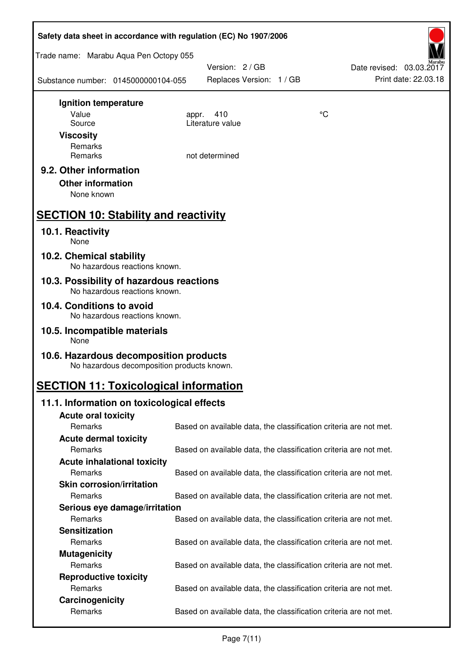| Safety data sheet in accordance with regulation (EC) No 1907/2006                    |                                                                   |    |                                                  |  |  |
|--------------------------------------------------------------------------------------|-------------------------------------------------------------------|----|--------------------------------------------------|--|--|
| Trade name: Marabu Aqua Pen Octopy 055                                               |                                                                   |    |                                                  |  |  |
| Substance number: 0145000000104-055                                                  | Version: 2 / GB<br>Replaces Version: 1 / GB                       |    | Date revised: 03.03.2017<br>Print date: 22.03.18 |  |  |
| Ignition temperature                                                                 |                                                                   |    |                                                  |  |  |
| Value                                                                                | 410<br>appr.<br>Literature value                                  | °C |                                                  |  |  |
| Source<br><b>Viscosity</b>                                                           |                                                                   |    |                                                  |  |  |
| Remarks                                                                              |                                                                   |    |                                                  |  |  |
| Remarks                                                                              | not determined                                                    |    |                                                  |  |  |
| 9.2. Other information<br><b>Other information</b><br>None known                     |                                                                   |    |                                                  |  |  |
| <b>SECTION 10: Stability and reactivity</b>                                          |                                                                   |    |                                                  |  |  |
| 10.1. Reactivity<br>None                                                             |                                                                   |    |                                                  |  |  |
| 10.2. Chemical stability<br>No hazardous reactions known.                            |                                                                   |    |                                                  |  |  |
| 10.3. Possibility of hazardous reactions<br>No hazardous reactions known.            |                                                                   |    |                                                  |  |  |
| 10.4. Conditions to avoid<br>No hazardous reactions known.                           |                                                                   |    |                                                  |  |  |
| 10.5. Incompatible materials<br>None                                                 |                                                                   |    |                                                  |  |  |
| 10.6. Hazardous decomposition products<br>No hazardous decomposition products known. |                                                                   |    |                                                  |  |  |
| <b>SECTION 11: Toxicological information</b>                                         |                                                                   |    |                                                  |  |  |
| 11.1. Information on toxicological effects                                           |                                                                   |    |                                                  |  |  |
| <b>Acute oral toxicity</b>                                                           |                                                                   |    |                                                  |  |  |
| Remarks                                                                              | Based on available data, the classification criteria are not met. |    |                                                  |  |  |
| <b>Acute dermal toxicity</b><br>Remarks                                              |                                                                   |    |                                                  |  |  |
| <b>Acute inhalational toxicity</b>                                                   | Based on available data, the classification criteria are not met. |    |                                                  |  |  |
| Remarks                                                                              | Based on available data, the classification criteria are not met. |    |                                                  |  |  |
| <b>Skin corrosion/irritation</b>                                                     |                                                                   |    |                                                  |  |  |
| Remarks                                                                              | Based on available data, the classification criteria are not met. |    |                                                  |  |  |
| Serious eye damage/irritation                                                        |                                                                   |    |                                                  |  |  |
| Remarks                                                                              | Based on available data, the classification criteria are not met. |    |                                                  |  |  |
| <b>Sensitization</b>                                                                 |                                                                   |    |                                                  |  |  |
| Remarks                                                                              | Based on available data, the classification criteria are not met. |    |                                                  |  |  |
| <b>Mutagenicity</b>                                                                  |                                                                   |    |                                                  |  |  |
| Remarks                                                                              | Based on available data, the classification criteria are not met. |    |                                                  |  |  |
| <b>Reproductive toxicity</b><br>Remarks                                              | Based on available data, the classification criteria are not met. |    |                                                  |  |  |
| Carcinogenicity                                                                      |                                                                   |    |                                                  |  |  |
| Remarks                                                                              | Based on available data, the classification criteria are not met. |    |                                                  |  |  |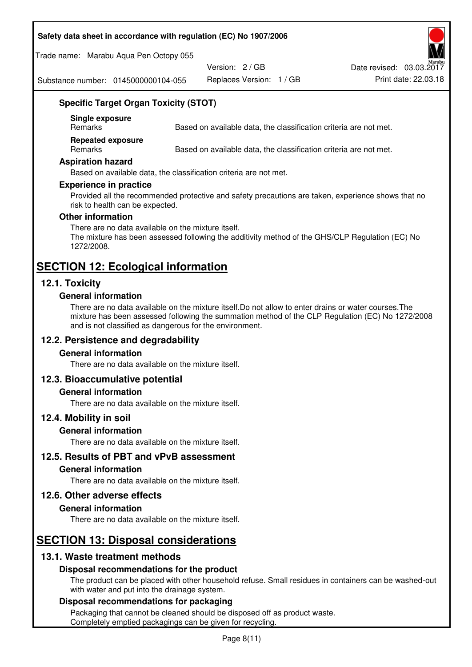#### **Safety data sheet in accordance with regulation (EC) No 1907/2006**

Trade name: Marabu Aqua Pen Octopy 055

Version: 2 / GB

Replaces Version: 1 / GB Print date: 22.03.18 Date revised: 03.03.2017

Substance number: 0145000000104-055

## **Specific Target Organ Toxicity (STOT)**

**Single exposure** 

Based on available data, the classification criteria are not met.

**Repeated exposure** 

Remarks Based on available data, the classification criteria are not met.

#### **Aspiration hazard**

Based on available data, the classification criteria are not met.

#### **Experience in practice**

Provided all the recommended protective and safety precautions are taken, experience shows that no risk to health can be expected.

#### **Other information**

There are no data available on the mixture itself. The mixture has been assessed following the additivity method of the GHS/CLP Regulation (EC) No 1272/2008.

# **SECTION 12: Ecological information**

## **12.1. Toxicity**

#### **General information**

There are no data available on the mixture itself.Do not allow to enter drains or water courses.The mixture has been assessed following the summation method of the CLP Regulation (EC) No 1272/2008 and is not classified as dangerous for the environment.

#### **12.2. Persistence and degradability**

#### **General information**

There are no data available on the mixture itself.

#### **12.3. Bioaccumulative potential**

#### **General information**

There are no data available on the mixture itself.

#### **12.4. Mobility in soil**

#### **General information**

There are no data available on the mixture itself.

#### **12.5. Results of PBT and vPvB assessment**

#### **General information**

There are no data available on the mixture itself.

#### **12.6. Other adverse effects**

#### **General information**

There are no data available on the mixture itself.

## **SECTION 13: Disposal considerations**

## **13.1. Waste treatment methods**

#### **Disposal recommendations for the product**

The product can be placed with other household refuse. Small residues in containers can be washed-out with water and put into the drainage system.

#### **Disposal recommendations for packaging**

Packaging that cannot be cleaned should be disposed off as product waste. Completely emptied packagings can be given for recycling.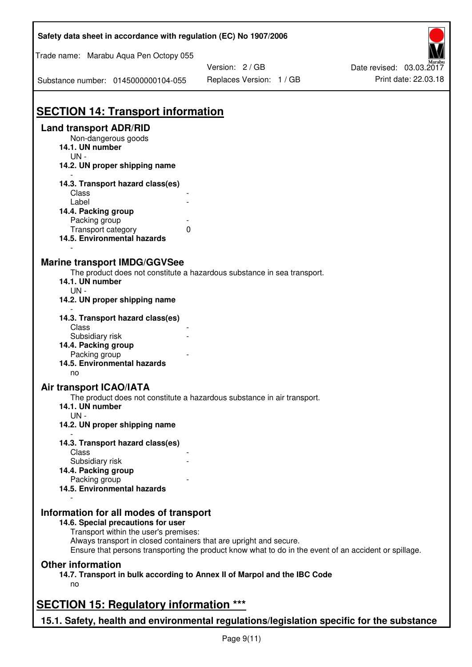| Safety data sheet in accordance with regulation (EC) No 1907/2006                         |                                                                                                       |                          |
|-------------------------------------------------------------------------------------------|-------------------------------------------------------------------------------------------------------|--------------------------|
| Trade name: Marabu Aqua Pen Octopy 055                                                    |                                                                                                       |                          |
|                                                                                           | Version: 2 / GB                                                                                       | Date revised: 03.03.2017 |
| Substance number: 0145000000104-055                                                       | Replaces Version: 1 / GB                                                                              | Print date: 22.03.18     |
| <b>SECTION 14: Transport information</b>                                                  |                                                                                                       |                          |
| <b>Land transport ADR/RID</b>                                                             |                                                                                                       |                          |
| Non-dangerous goods                                                                       |                                                                                                       |                          |
| 14.1. UN number                                                                           |                                                                                                       |                          |
| $UN -$                                                                                    |                                                                                                       |                          |
| 14.2. UN proper shipping name                                                             |                                                                                                       |                          |
| 14.3. Transport hazard class(es)                                                          |                                                                                                       |                          |
| Class                                                                                     |                                                                                                       |                          |
| Label                                                                                     |                                                                                                       |                          |
| 14.4. Packing group                                                                       |                                                                                                       |                          |
| Packing group                                                                             |                                                                                                       |                          |
| Transport category<br>0                                                                   |                                                                                                       |                          |
| 14.5. Environmental hazards                                                               |                                                                                                       |                          |
|                                                                                           |                                                                                                       |                          |
| <b>Marine transport IMDG/GGVSee</b>                                                       |                                                                                                       |                          |
|                                                                                           | The product does not constitute a hazardous substance in sea transport.                               |                          |
| 14.1. UN number                                                                           |                                                                                                       |                          |
| $UN -$                                                                                    |                                                                                                       |                          |
| 14.2. UN proper shipping name                                                             |                                                                                                       |                          |
|                                                                                           |                                                                                                       |                          |
| 14.3. Transport hazard class(es)                                                          |                                                                                                       |                          |
| Class                                                                                     |                                                                                                       |                          |
| Subsidiary risk                                                                           |                                                                                                       |                          |
| 14.4. Packing group                                                                       |                                                                                                       |                          |
| Packing group                                                                             |                                                                                                       |                          |
| 14.5. Environmental hazards                                                               |                                                                                                       |                          |
| no                                                                                        |                                                                                                       |                          |
| Air transport ICAO/IATA                                                                   |                                                                                                       |                          |
|                                                                                           | The product does not constitute a hazardous substance in air transport.                               |                          |
| 14.1. UN number                                                                           |                                                                                                       |                          |
| $UN -$                                                                                    |                                                                                                       |                          |
| 14.2. UN proper shipping name                                                             |                                                                                                       |                          |
|                                                                                           |                                                                                                       |                          |
| 14.3. Transport hazard class(es)<br>Class                                                 |                                                                                                       |                          |
| Subsidiary risk                                                                           |                                                                                                       |                          |
| 14.4. Packing group                                                                       |                                                                                                       |                          |
| Packing group                                                                             |                                                                                                       |                          |
| 14.5. Environmental hazards                                                               |                                                                                                       |                          |
|                                                                                           |                                                                                                       |                          |
| Information for all modes of transport                                                    |                                                                                                       |                          |
| 14.6. Special precautions for user                                                        |                                                                                                       |                          |
| Transport within the user's premises:                                                     |                                                                                                       |                          |
| Always transport in closed containers that are upright and secure.                        |                                                                                                       |                          |
|                                                                                           | Ensure that persons transporting the product know what to do in the event of an accident or spillage. |                          |
| <b>Other information</b>                                                                  |                                                                                                       |                          |
|                                                                                           | 14.7. Transport in bulk according to Annex II of Marpol and the IBC Code                              |                          |
| no                                                                                        |                                                                                                       |                          |
|                                                                                           |                                                                                                       |                          |
| <b>SECTION 15: Regulatory information ***</b>                                             |                                                                                                       |                          |
|                                                                                           |                                                                                                       |                          |
| 15.1. Safety, health and environmental regulations/legislation specific for the substance |                                                                                                       |                          |

Ī

٦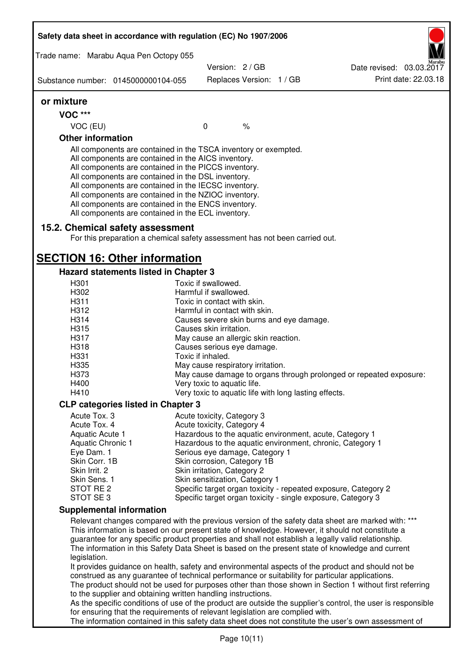| Safety data sheet in accordance with regulation (EC) No 1907/2006                                                                                                                                                                                                                                                                                                                                                                                                 |                                                               |                          |                                                                                                              |
|-------------------------------------------------------------------------------------------------------------------------------------------------------------------------------------------------------------------------------------------------------------------------------------------------------------------------------------------------------------------------------------------------------------------------------------------------------------------|---------------------------------------------------------------|--------------------------|--------------------------------------------------------------------------------------------------------------|
| Trade name: Marabu Aqua Pen Octopy 055                                                                                                                                                                                                                                                                                                                                                                                                                            |                                                               |                          |                                                                                                              |
| Substance number: 0145000000104-055                                                                                                                                                                                                                                                                                                                                                                                                                               | Version: 2/GB                                                 | Replaces Version: 1 / GB | Date revised: 03.03.2017<br>Print date: 22.03.18                                                             |
|                                                                                                                                                                                                                                                                                                                                                                                                                                                                   |                                                               |                          |                                                                                                              |
| or mixture                                                                                                                                                                                                                                                                                                                                                                                                                                                        |                                                               |                          |                                                                                                              |
| <b>VOC ***</b>                                                                                                                                                                                                                                                                                                                                                                                                                                                    |                                                               |                          |                                                                                                              |
| VOC (EU)                                                                                                                                                                                                                                                                                                                                                                                                                                                          | $\mathbf 0$                                                   | $\%$                     |                                                                                                              |
| <b>Other information</b>                                                                                                                                                                                                                                                                                                                                                                                                                                          |                                                               |                          |                                                                                                              |
| All components are contained in the TSCA inventory or exempted.<br>All components are contained in the AICS inventory.<br>All components are contained in the PICCS inventory.<br>All components are contained in the DSL inventory.<br>All components are contained in the IECSC inventory.<br>All components are contained in the NZIOC inventory.<br>All components are contained in the ENCS inventory.<br>All components are contained in the ECL inventory. |                                                               |                          |                                                                                                              |
| 15.2. Chemical safety assessment<br>For this preparation a chemical safety assessment has not been carried out.                                                                                                                                                                                                                                                                                                                                                   |                                                               |                          |                                                                                                              |
| <b>SECTION 16: Other information</b>                                                                                                                                                                                                                                                                                                                                                                                                                              |                                                               |                          |                                                                                                              |
| Hazard statements listed in Chapter 3                                                                                                                                                                                                                                                                                                                                                                                                                             |                                                               |                          |                                                                                                              |
| H <sub>301</sub>                                                                                                                                                                                                                                                                                                                                                                                                                                                  | Toxic if swallowed.                                           |                          |                                                                                                              |
| H302                                                                                                                                                                                                                                                                                                                                                                                                                                                              | Harmful if swallowed.                                         |                          |                                                                                                              |
| H311                                                                                                                                                                                                                                                                                                                                                                                                                                                              | Toxic in contact with skin.                                   |                          |                                                                                                              |
| H312                                                                                                                                                                                                                                                                                                                                                                                                                                                              | Harmful in contact with skin.                                 |                          |                                                                                                              |
| H314                                                                                                                                                                                                                                                                                                                                                                                                                                                              | Causes severe skin burns and eye damage.                      |                          |                                                                                                              |
| H315                                                                                                                                                                                                                                                                                                                                                                                                                                                              | Causes skin irritation.                                       |                          |                                                                                                              |
| H317                                                                                                                                                                                                                                                                                                                                                                                                                                                              | May cause an allergic skin reaction.                          |                          |                                                                                                              |
| H318                                                                                                                                                                                                                                                                                                                                                                                                                                                              | Causes serious eye damage.                                    |                          |                                                                                                              |
| H331                                                                                                                                                                                                                                                                                                                                                                                                                                                              | Toxic if inhaled.                                             |                          |                                                                                                              |
| H335                                                                                                                                                                                                                                                                                                                                                                                                                                                              | May cause respiratory irritation.                             |                          |                                                                                                              |
| H373                                                                                                                                                                                                                                                                                                                                                                                                                                                              |                                                               |                          | May cause damage to organs through prolonged or repeated exposure:                                           |
| H400                                                                                                                                                                                                                                                                                                                                                                                                                                                              | Very toxic to aquatic life.                                   |                          |                                                                                                              |
| H410                                                                                                                                                                                                                                                                                                                                                                                                                                                              | Very toxic to aquatic life with long lasting effects.         |                          |                                                                                                              |
| <b>CLP categories listed in Chapter 3</b>                                                                                                                                                                                                                                                                                                                                                                                                                         |                                                               |                          |                                                                                                              |
| Acute Tox. 3                                                                                                                                                                                                                                                                                                                                                                                                                                                      | Acute toxicity, Category 3                                    |                          |                                                                                                              |
| Acute Tox. 4                                                                                                                                                                                                                                                                                                                                                                                                                                                      | Acute toxicity, Category 4                                    |                          |                                                                                                              |
| Aquatic Acute 1                                                                                                                                                                                                                                                                                                                                                                                                                                                   |                                                               |                          | Hazardous to the aquatic environment, acute, Category 1                                                      |
| <b>Aquatic Chronic 1</b>                                                                                                                                                                                                                                                                                                                                                                                                                                          |                                                               |                          | Hazardous to the aquatic environment, chronic, Category 1                                                    |
| Eye Dam. 1<br>Skin Corr. 1B                                                                                                                                                                                                                                                                                                                                                                                                                                       | Serious eye damage, Category 1<br>Skin corrosion, Category 1B |                          |                                                                                                              |
| Skin Irrit. 2                                                                                                                                                                                                                                                                                                                                                                                                                                                     | Skin irritation, Category 2                                   |                          |                                                                                                              |
| Skin Sens. 1                                                                                                                                                                                                                                                                                                                                                                                                                                                      | Skin sensitization, Category 1                                |                          |                                                                                                              |
| STOT RE 2                                                                                                                                                                                                                                                                                                                                                                                                                                                         |                                                               |                          | Specific target organ toxicity - repeated exposure, Category 2                                               |
| STOT SE3                                                                                                                                                                                                                                                                                                                                                                                                                                                          |                                                               |                          | Specific target organ toxicity - single exposure, Category 3                                                 |
| <b>Supplemental information</b>                                                                                                                                                                                                                                                                                                                                                                                                                                   |                                                               |                          |                                                                                                              |
|                                                                                                                                                                                                                                                                                                                                                                                                                                                                   |                                                               |                          | Relevant changes compared with the previous version of the safety data sheet are marked with: ***            |
|                                                                                                                                                                                                                                                                                                                                                                                                                                                                   |                                                               |                          | This information is based on our present state of knowledge. However, it should not constitute a             |
| guarantee for any specific product properties and shall not establish a legally valid relationship.                                                                                                                                                                                                                                                                                                                                                               |                                                               |                          |                                                                                                              |
|                                                                                                                                                                                                                                                                                                                                                                                                                                                                   |                                                               |                          | The information in this Safety Data Sheet is based on the present state of knowledge and current             |
| legislation.                                                                                                                                                                                                                                                                                                                                                                                                                                                      |                                                               |                          |                                                                                                              |
|                                                                                                                                                                                                                                                                                                                                                                                                                                                                   |                                                               |                          | It provides guidance on health, safety and environmental aspects of the product and should not be            |
| construed as any guarantee of technical performance or suitability for particular applications.                                                                                                                                                                                                                                                                                                                                                                   |                                                               |                          |                                                                                                              |
|                                                                                                                                                                                                                                                                                                                                                                                                                                                                   |                                                               |                          | The product should not be used for purposes other than those shown in Section 1 without first referring      |
| to the supplier and obtaining written handling instructions.                                                                                                                                                                                                                                                                                                                                                                                                      |                                                               |                          |                                                                                                              |
|                                                                                                                                                                                                                                                                                                                                                                                                                                                                   |                                                               |                          | As the specific conditions of use of the product are outside the supplier's control, the user is responsible |
| for ensuring that the requirements of relevant legislation are complied with.                                                                                                                                                                                                                                                                                                                                                                                     |                                                               |                          |                                                                                                              |
|                                                                                                                                                                                                                                                                                                                                                                                                                                                                   |                                                               |                          | The information contained in this safety data sheet does not constitute the user's own assessment of         |